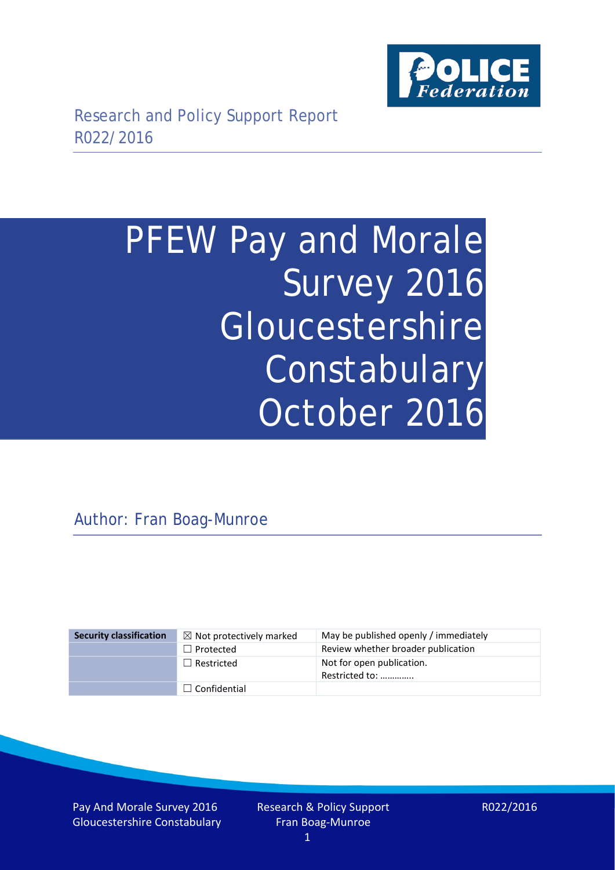

# PFEW Pay and Morale Survey 2016 Gloucestershire Constabulary October 2016

# Author: Fran Boag-Munroe

| <b>Security classification</b> | $\boxtimes$ Not protectively marked | May be published openly / immediately       |
|--------------------------------|-------------------------------------|---------------------------------------------|
|                                | $\Box$ Protected                    | Review whether broader publication          |
|                                | $\Box$ Restricted                   | Not for open publication.<br>Restricted to: |
|                                | $\Box$ Confidential                 |                                             |

Pay And Morale Survey 2016 Gloucestershire Constabulary R022/2016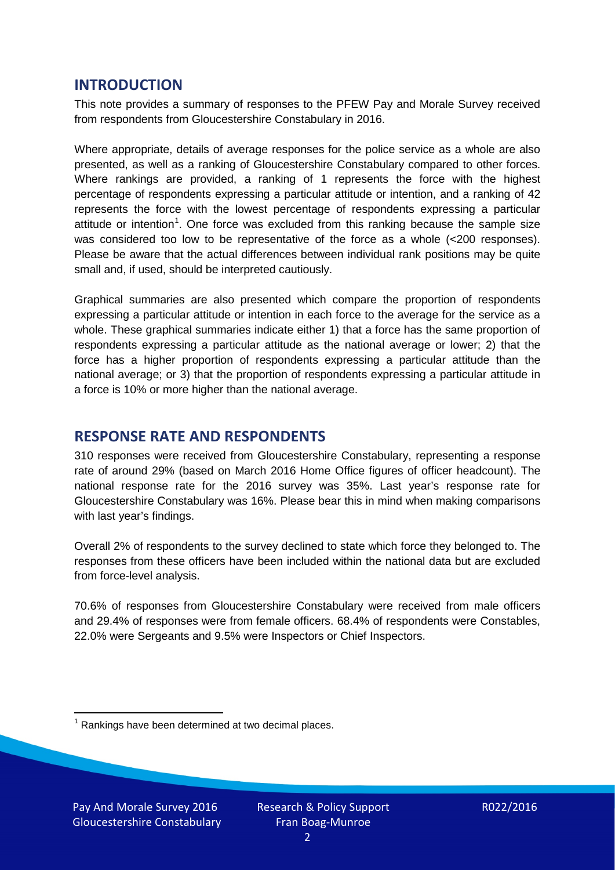### **INTRODUCTION**

This note provides a summary of responses to the PFEW Pay and Morale Survey received from respondents from Gloucestershire Constabulary in 2016.

Where appropriate, details of average responses for the police service as a whole are also presented, as well as a ranking of Gloucestershire Constabulary compared to other forces. Where rankings are provided, a ranking of 1 represents the force with the highest percentage of respondents expressing a particular attitude or intention, and a ranking of 42 represents the force with the lowest percentage of respondents expressing a particular attitude or intention<sup>[1](#page-1-0)</sup>. One force was excluded from this ranking because the sample size was considered too low to be representative of the force as a whole (<200 responses). Please be aware that the actual differences between individual rank positions may be quite small and, if used, should be interpreted cautiously.

Graphical summaries are also presented which compare the proportion of respondents expressing a particular attitude or intention in each force to the average for the service as a whole. These graphical summaries indicate either 1) that a force has the same proportion of respondents expressing a particular attitude as the national average or lower; 2) that the force has a higher proportion of respondents expressing a particular attitude than the national average; or 3) that the proportion of respondents expressing a particular attitude in a force is 10% or more higher than the national average.

# **RESPONSE RATE AND RESPONDENTS**

310 responses were received from Gloucestershire Constabulary, representing a response rate of around 29% (based on March 2016 Home Office figures of officer headcount). The national response rate for the 2016 survey was 35%. Last year's response rate for Gloucestershire Constabulary was 16%. Please bear this in mind when making comparisons with last year's findings.

Overall 2% of respondents to the survey declined to state which force they belonged to. The responses from these officers have been included within the national data but are excluded from force-level analysis.

70.6% of responses from Gloucestershire Constabulary were received from male officers and 29.4% of responses were from female officers. 68.4% of respondents were Constables, 22.0% were Sergeants and 9.5% were Inspectors or Chief Inspectors.

<span id="page-1-0"></span> $1$  Rankings have been determined at two decimal places.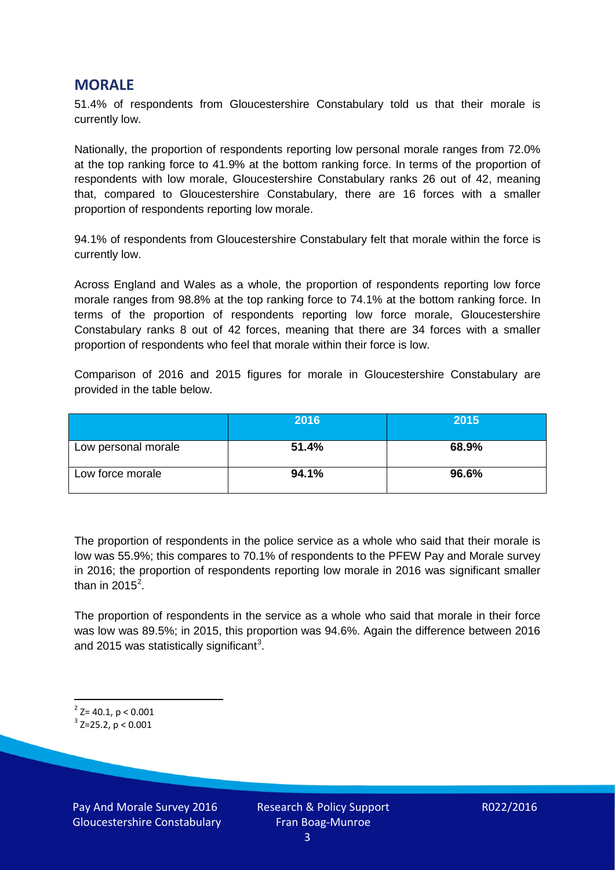#### **MORALE**

51.4% of respondents from Gloucestershire Constabulary told us that their morale is currently low.

Nationally, the proportion of respondents reporting low personal morale ranges from 72.0% at the top ranking force to 41.9% at the bottom ranking force. In terms of the proportion of respondents with low morale, Gloucestershire Constabulary ranks 26 out of 42, meaning that, compared to Gloucestershire Constabulary, there are 16 forces with a smaller proportion of respondents reporting low morale.

94.1% of respondents from Gloucestershire Constabulary felt that morale within the force is currently low.

Across England and Wales as a whole, the proportion of respondents reporting low force morale ranges from 98.8% at the top ranking force to 74.1% at the bottom ranking force. In terms of the proportion of respondents reporting low force morale, Gloucestershire Constabulary ranks 8 out of 42 forces, meaning that there are 34 forces with a smaller proportion of respondents who feel that morale within their force is low.

Comparison of 2016 and 2015 figures for morale in Gloucestershire Constabulary are provided in the table below.

|                     | 2016  | 2015  |
|---------------------|-------|-------|
| Low personal morale | 51.4% | 68.9% |
| Low force morale    | 94.1% | 96.6% |

The proportion of respondents in the police service as a whole who said that their morale is low was 55.9%; this compares to 70.1% of respondents to the PFEW Pay and Morale survey in 2016; the proportion of respondents reporting low morale in 2016 was significant smaller than in [2](#page-2-0)015<sup>2</sup>.

The proportion of respondents in the service as a whole who said that morale in their force was low was 89.5%; in 2015, this proportion was 94.6%. Again the difference between 2016 and 2015 was statistically significant<sup>[3](#page-2-1)</sup>.

<span id="page-2-0"></span> $2$  Z= 40.1, p < 0.001

<span id="page-2-1"></span> $3$  Z=25.2, p < 0.001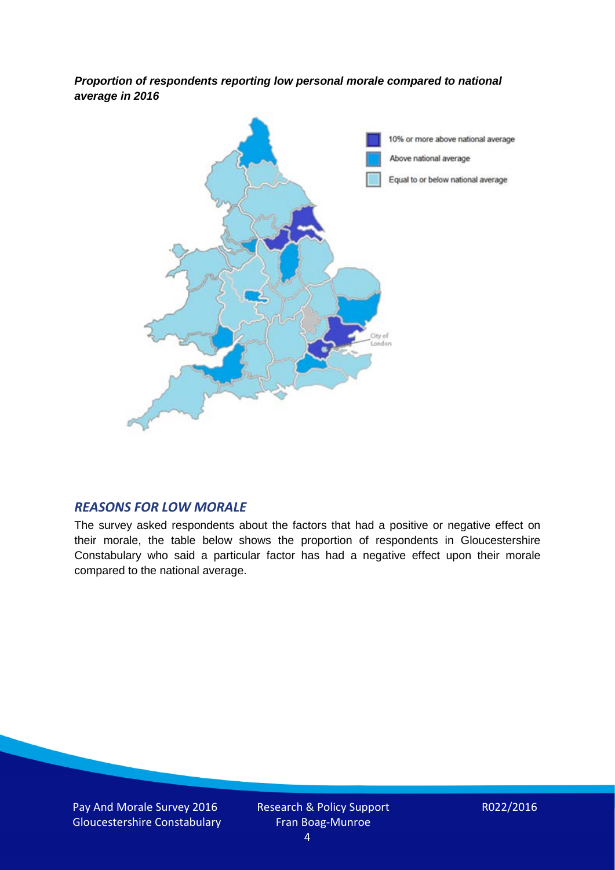*Proportion of respondents reporting low personal morale compared to national average in 2016*



#### *REASONS FOR LOW MORALE*

The survey asked respondents about the factors that had a positive or negative effect on their morale, the table below shows the proportion of respondents in Gloucestershire Constabulary who said a particular factor has had a negative effect upon their morale compared to the national average.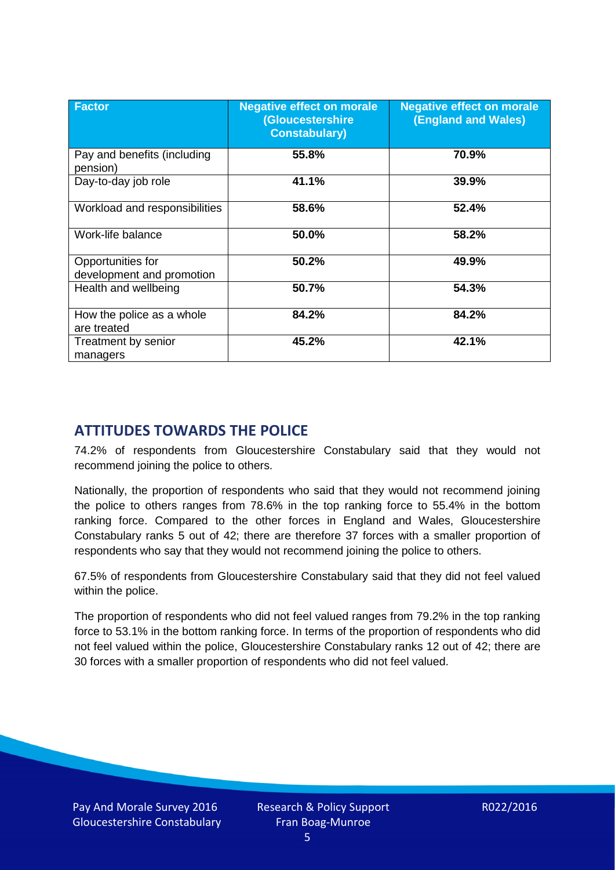| <b>Factor</b>                                  | <b>Negative effect on morale</b><br><b>(Gloucestershire</b><br><b>Constabulary)</b> | <b>Negative effect on morale</b><br>(England and Wales) |
|------------------------------------------------|-------------------------------------------------------------------------------------|---------------------------------------------------------|
| Pay and benefits (including<br>pension)        | 55.8%                                                                               | 70.9%                                                   |
| Day-to-day job role                            | 41.1%                                                                               | 39.9%                                                   |
| Workload and responsibilities                  | 58.6%                                                                               | 52.4%                                                   |
| Work-life balance                              | 50.0%                                                                               | 58.2%                                                   |
| Opportunities for<br>development and promotion | 50.2%                                                                               | 49.9%                                                   |
| Health and wellbeing                           | 50.7%                                                                               | 54.3%                                                   |
| How the police as a whole<br>are treated       | 84.2%                                                                               | 84.2%                                                   |
| Treatment by senior<br>managers                | 45.2%                                                                               | 42.1%                                                   |

# **ATTITUDES TOWARDS THE POLICE**

74.2% of respondents from Gloucestershire Constabulary said that they would not recommend joining the police to others.

Nationally, the proportion of respondents who said that they would not recommend joining the police to others ranges from 78.6% in the top ranking force to 55.4% in the bottom ranking force. Compared to the other forces in England and Wales, Gloucestershire Constabulary ranks 5 out of 42; there are therefore 37 forces with a smaller proportion of respondents who say that they would not recommend joining the police to others.

67.5% of respondents from Gloucestershire Constabulary said that they did not feel valued within the police.

The proportion of respondents who did not feel valued ranges from 79.2% in the top ranking force to 53.1% in the bottom ranking force. In terms of the proportion of respondents who did not feel valued within the police, Gloucestershire Constabulary ranks 12 out of 42; there are 30 forces with a smaller proportion of respondents who did not feel valued.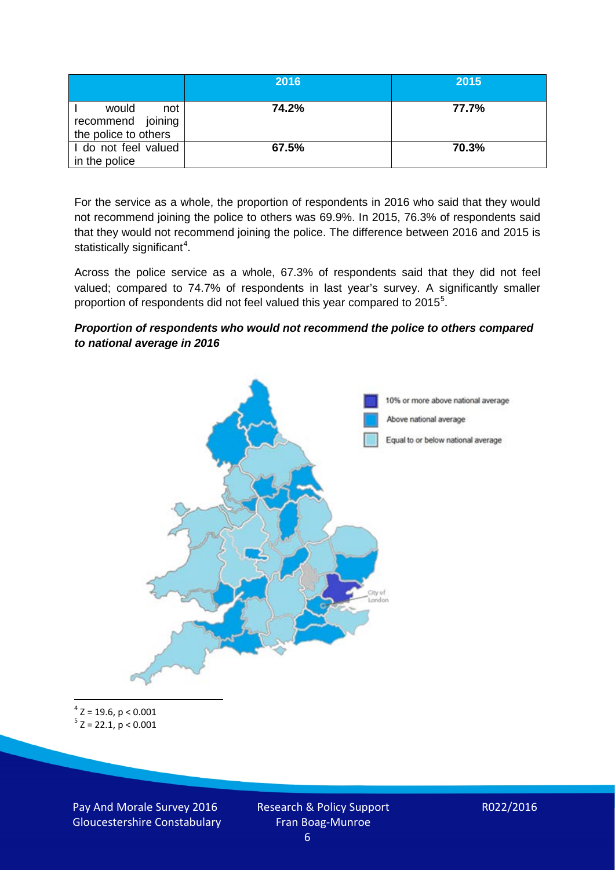|                                                           | 2016  | 2015  |
|-----------------------------------------------------------|-------|-------|
| would<br>not<br>recommend joining<br>the police to others | 74.2% | 77.7% |
| I do not feel valued<br>in the police                     | 67.5% | 70.3% |

For the service as a whole, the proportion of respondents in 2016 who said that they would not recommend joining the police to others was 69.9%. In 2015, 76.3% of respondents said that they would not recommend joining the police. The difference between 2016 and 2015 is statistically significant<sup>[4](#page-5-0)</sup>.

Across the police service as a whole, 67.3% of respondents said that they did not feel valued; compared to 74.7% of respondents in last year's survey. A significantly smaller proportion of respondents did not feel valued this year compared to 201[5](#page-5-1)<sup>5</sup>.

#### *Proportion of respondents who would not recommend the police to others compared to national average in 2016*



<span id="page-5-1"></span><span id="page-5-0"></span> $4$  Z = 19.6, p < 0.001  $5$  Z = 22.1, p < 0.001

Pay And Morale Survey 2016 Gloucestershire Constabulary Research & Policy Support Fran Boag-Munroe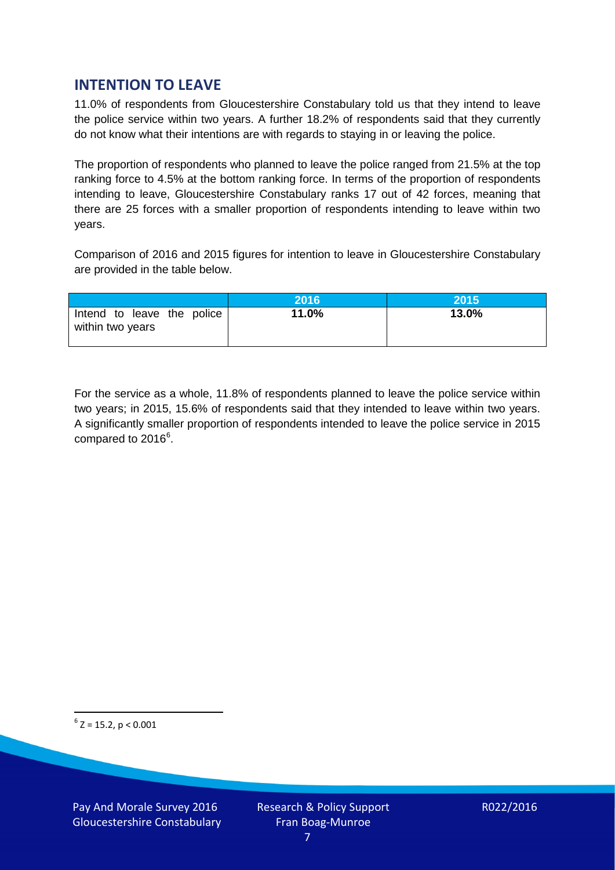# **INTENTION TO LEAVE**

11.0% of respondents from Gloucestershire Constabulary told us that they intend to leave the police service within two years. A further 18.2% of respondents said that they currently do not know what their intentions are with regards to staying in or leaving the police.

The proportion of respondents who planned to leave the police ranged from 21.5% at the top ranking force to 4.5% at the bottom ranking force. In terms of the proportion of respondents intending to leave, Gloucestershire Constabulary ranks 17 out of 42 forces, meaning that there are 25 forces with a smaller proportion of respondents intending to leave within two years.

Comparison of 2016 and 2015 figures for intention to leave in Gloucestershire Constabulary are provided in the table below.

|                                                | 2016  | 2015  |
|------------------------------------------------|-------|-------|
| Intend to leave the police<br>within two years | 11.0% | 13.0% |

For the service as a whole, 11.8% of respondents planned to leave the police service within two years; in 2015, 15.6% of respondents said that they intended to leave within two years. A significantly smaller proportion of respondents intended to leave the police service in 2015 compared to 201[6](#page-6-0)<sup>6</sup>.

<span id="page-6-0"></span> $6$  Z = 15.2, p < 0.001

Pay And Morale Survey 2016 Gloucestershire Constabulary Research & Policy Support Fran Boag-Munroe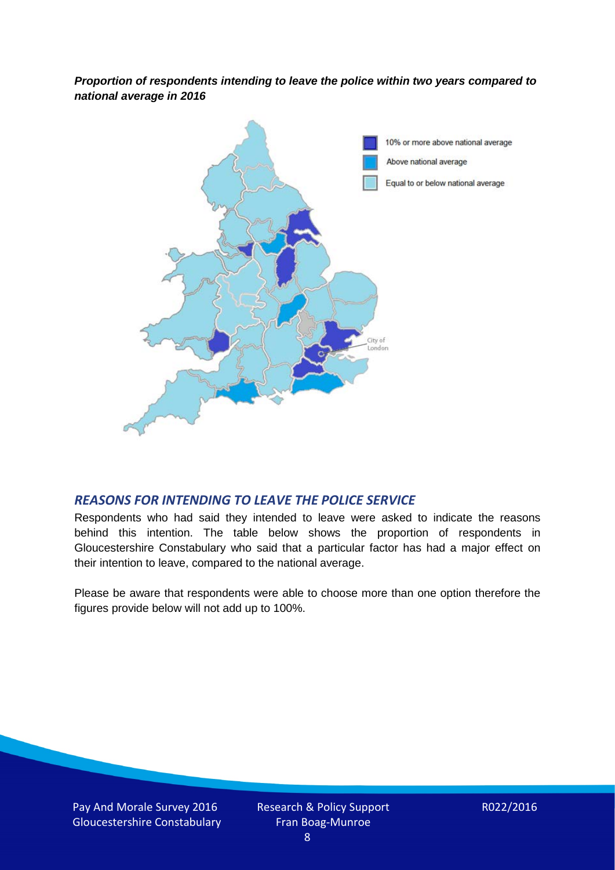*Proportion of respondents intending to leave the police within two years compared to national average in 2016*



#### *REASONS FOR INTENDING TO LEAVE THE POLICE SERVICE*

Respondents who had said they intended to leave were asked to indicate the reasons behind this intention. The table below shows the proportion of respondents in Gloucestershire Constabulary who said that a particular factor has had a major effect on their intention to leave, compared to the national average.

Please be aware that respondents were able to choose more than one option therefore the figures provide below will not add up to 100%.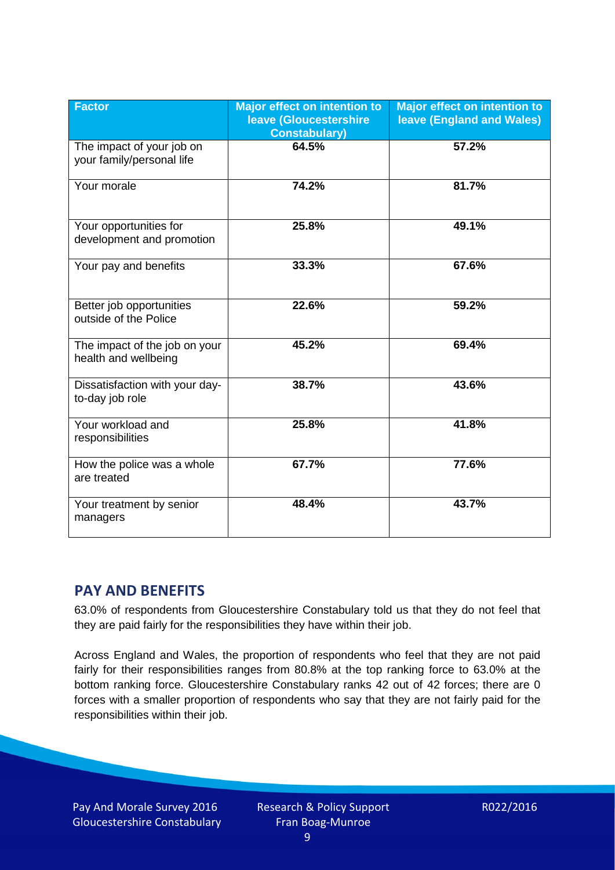| <b>Factor</b>                                          | <b>Major effect on intention to</b><br>leave (Gloucestershire<br><b>Constabulary)</b> | <b>Major effect on intention to</b><br>leave (England and Wales) |
|--------------------------------------------------------|---------------------------------------------------------------------------------------|------------------------------------------------------------------|
| The impact of your job on<br>your family/personal life | 64.5%                                                                                 | 57.2%                                                            |
| Your morale                                            | 74.2%                                                                                 | 81.7%                                                            |
| Your opportunities for<br>development and promotion    | 25.8%                                                                                 | 49.1%                                                            |
| Your pay and benefits                                  | 33.3%                                                                                 | 67.6%                                                            |
| Better job opportunities<br>outside of the Police      | 22.6%                                                                                 | 59.2%                                                            |
| The impact of the job on your<br>health and wellbeing  | 45.2%                                                                                 | 69.4%                                                            |
| Dissatisfaction with your day-<br>to-day job role      | 38.7%                                                                                 | 43.6%                                                            |
| Your workload and<br>responsibilities                  | 25.8%                                                                                 | 41.8%                                                            |
| How the police was a whole<br>are treated              | 67.7%                                                                                 | 77.6%                                                            |
| Your treatment by senior<br>managers                   | 48.4%                                                                                 | 43.7%                                                            |

# **PAY AND BENEFITS**

63.0% of respondents from Gloucestershire Constabulary told us that they do not feel that they are paid fairly for the responsibilities they have within their job.

Across England and Wales, the proportion of respondents who feel that they are not paid fairly for their responsibilities ranges from 80.8% at the top ranking force to 63.0% at the bottom ranking force. Gloucestershire Constabulary ranks 42 out of 42 forces; there are 0 forces with a smaller proportion of respondents who say that they are not fairly paid for the responsibilities within their job.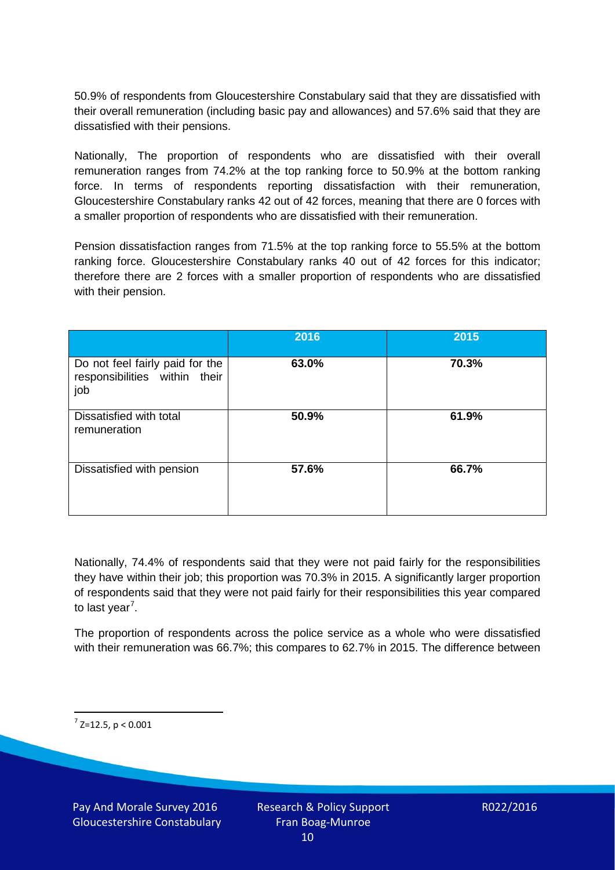50.9% of respondents from Gloucestershire Constabulary said that they are dissatisfied with their overall remuneration (including basic pay and allowances) and 57.6% said that they are dissatisfied with their pensions.

Nationally, The proportion of respondents who are dissatisfied with their overall remuneration ranges from 74.2% at the top ranking force to 50.9% at the bottom ranking force. In terms of respondents reporting dissatisfaction with their remuneration, Gloucestershire Constabulary ranks 42 out of 42 forces, meaning that there are 0 forces with a smaller proportion of respondents who are dissatisfied with their remuneration.

Pension dissatisfaction ranges from 71.5% at the top ranking force to 55.5% at the bottom ranking force. Gloucestershire Constabulary ranks 40 out of 42 forces for this indicator; therefore there are 2 forces with a smaller proportion of respondents who are dissatisfied with their pension.

|                                                                         | 2016  | 2015  |
|-------------------------------------------------------------------------|-------|-------|
| Do not feel fairly paid for the<br>responsibilities within their<br>job | 63.0% | 70.3% |
| Dissatisfied with total<br>remuneration                                 | 50.9% | 61.9% |
| Dissatisfied with pension                                               | 57.6% | 66.7% |

Nationally, 74.4% of respondents said that they were not paid fairly for the responsibilities they have within their job; this proportion was 70.3% in 2015. A significantly larger proportion of respondents said that they were not paid fairly for their responsibilities this year compared to last year<sup>[7](#page-9-0)</sup>.

The proportion of respondents across the police service as a whole who were dissatisfied with their remuneration was 66.7%; this compares to 62.7% in 2015. The difference between

<span id="page-9-0"></span> $7$  Z=12.5, p < 0.001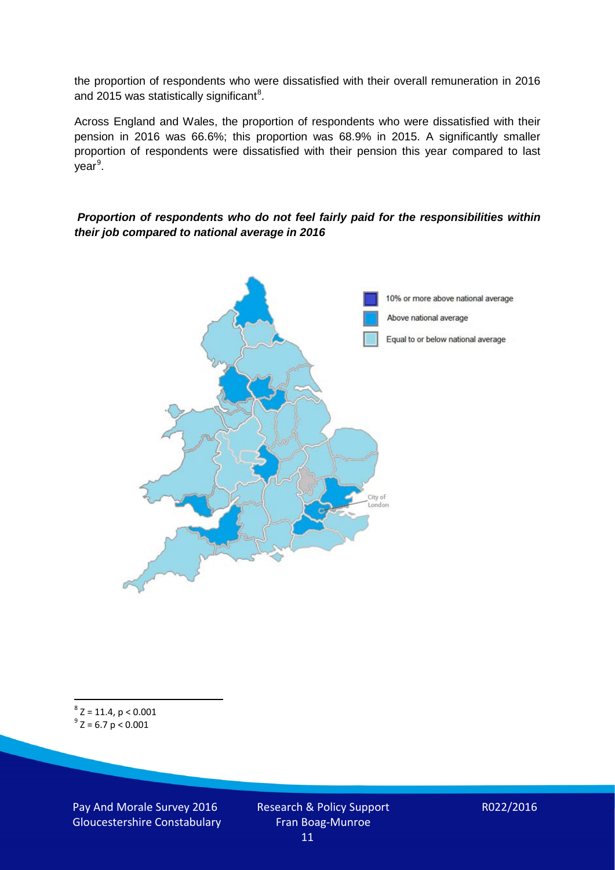the proportion of respondents who were dissatisfied with their overall remuneration in 2016 and 2015 was statistically significant<sup>[8](#page-10-0)</sup>.

Across England and Wales, the proportion of respondents who were dissatisfied with their pension in 2016 was 66.6%; this proportion was 68.9% in 2015. A significantly smaller proportion of respondents were dissatisfied with their pension this year compared to last year<sup>[9](#page-10-1)</sup>.

#### *Proportion of respondents who do not feel fairly paid for the responsibilities within their job compared to national average in 2016*



<span id="page-10-1"></span><span id="page-10-0"></span> $8$  Z = 11.4, p < 0.001  $^{9}$  Z = 6.7 p < 0.001